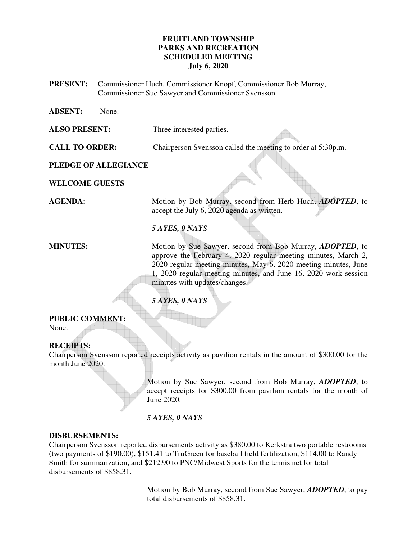# **FRUITLAND TOWNSHIP PARKS AND RECREATION SCHEDULED MEETING July 6, 2020**

- **PRESENT:** Commissioner Huch, Commissioner Knopf, Commissioner Bob Murray, Commissioner Sue Sawyer and Commissioner Svensson
- **ABSENT:** None.

**ALSO PRESENT:** Three interested parties.

**CALL TO ORDER:** Chairperson Svensson called the meeting to order at 5:30p.m.

# **PLEDGE OF ALLEGIANCE**

**WELCOME GUESTS** 

**AGENDA: Motion by Bob Murray, second from Herb Huch,** *ADOPTED***, to** accept the July 6, 2020 agenda as written.

# *5 AYES, 0 NAYS*

**MINUTES:** Motion by Sue Sawyer, second from Bob Murray, *ADOPTED*, to approve the February 4, 2020 regular meeting minutes, March 2, 2020 regular meeting minutes, May 6, 2020 meeting minutes, June 1, 2020 regular meeting minutes, and June 16, 2020 work session minutes with updates/changes.

# *5 AYES, 0 NAYS*

# **PUBLIC COMMENT:**

None.

# **RECEIPTS:**

Chairperson Svensson reported receipts activity as pavilion rentals in the amount of \$300.00 for the month June 2020.

> Motion by Sue Sawyer, second from Bob Murray, *ADOPTED*, to accept receipts for \$300.00 from pavilion rentals for the month of June 2020.

# *5 AYES, 0 NAYS*

#### **DISBURSEMENTS:**

Chairperson Svensson reported disbursements activity as \$380.00 to Kerkstra two portable restrooms (two payments of \$190.00), \$151.41 to TruGreen for baseball field fertilization, \$114.00 to Randy Smith for summarization, and \$212.90 to PNC/Midwest Sports for the tennis net for total disbursements of \$858.31.

> Motion by Bob Murray, second from Sue Sawyer, *ADOPTED*, to pay total disbursements of \$858.31.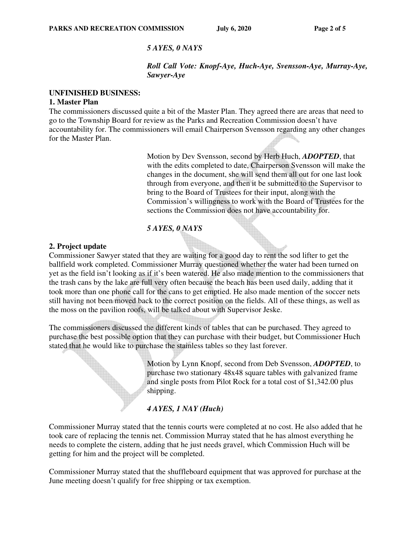# *5 AYES, 0 NAYS*

# *Roll Call Vote: Knopf-Aye, Huch-Aye, Svensson-Aye, Murray-Aye, Sawyer-Aye*

### **UNFINISHED BUSINESS:**

#### **1. Master Plan**

The commissioners discussed quite a bit of the Master Plan. They agreed there are areas that need to go to the Township Board for review as the Parks and Recreation Commission doesn't have accountability for. The commissioners will email Chairperson Svensson regarding any other changes for the Master Plan.

> Motion by Dev Svensson, second by Herb Huch, *ADOPTED*, that with the edits completed to date, Chairperson Svensson will make the changes in the document, she will send them all out for one last look through from everyone, and then it be submitted to the Supervisor to bring to the Board of Trustees for their input, along with the Commission's willingness to work with the Board of Trustees for the sections the Commission does not have accountability for.

# *5 AYES, 0 NAYS*

#### **2. Project update**

Commissioner Sawyer stated that they are waiting for a good day to rent the sod lifter to get the ballfield work completed. Commissioner Murray questioned whether the water had been turned on yet as the field isn't looking as if it's been watered. He also made mention to the commissioners that the trash cans by the lake are full very often because the beach has been used daily, adding that it took more than one phone call for the cans to get emptied. He also made mention of the soccer nets still having not been moved back to the correct position on the fields. All of these things, as well as the moss on the pavilion roofs, will be talked about with Supervisor Jeske.

The commissioners discussed the different kinds of tables that can be purchased. They agreed to purchase the best possible option that they can purchase with their budget, but Commissioner Huch stated that he would like to purchase the stainless tables so they last forever.

> Motion by Lynn Knopf, second from Deb Svensson, *ADOPTED*, to purchase two stationary 48x48 square tables with galvanized frame and single posts from Pilot Rock for a total cost of \$1,342.00 plus shipping.

# *4 AYES, 1 NAY (Huch)*

Commissioner Murray stated that the tennis courts were completed at no cost. He also added that he took care of replacing the tennis net. Commission Murray stated that he has almost everything he needs to complete the cistern, adding that he just needs gravel, which Commission Huch will be getting for him and the project will be completed.

Commissioner Murray stated that the shuffleboard equipment that was approved for purchase at the June meeting doesn't qualify for free shipping or tax exemption.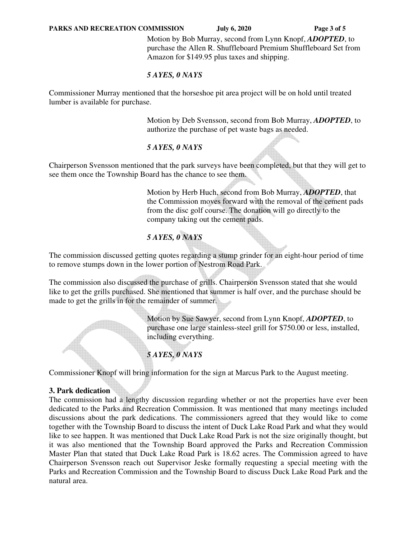Motion by Bob Murray, second from Lynn Knopf, *ADOPTED*, to purchase the Allen R. Shuffleboard Premium Shuffleboard Set from Amazon for \$149.95 plus taxes and shipping.

# *5 AYES, 0 NAYS*

Commissioner Murray mentioned that the horseshoe pit area project will be on hold until treated lumber is available for purchase.

> Motion by Deb Svensson, second from Bob Murray, *ADOPTED*, to authorize the purchase of pet waste bags as needed.

# *5 AYES, 0 NAYS*

Chairperson Svensson mentioned that the park surveys have been completed, but that they will get to see them once the Township Board has the chance to see them.

> Motion by Herb Huch, second from Bob Murray, *ADOPTED*, that the Commission moves forward with the removal of the cement pads from the disc golf course. The donation will go directly to the company taking out the cement pads.

# *5 AYES, 0 NAYS*

The commission discussed getting quotes regarding a stump grinder for an eight-hour period of time to remove stumps down in the lower portion of Nestrom Road Park.

The commission also discussed the purchase of grills. Chairperson Svensson stated that she would like to get the grills purchased. She mentioned that summer is half over, and the purchase should be made to get the grills in for the remainder of summer.

> Motion by Sue Sawyer, second from Lynn Knopf, *ADOPTED*, to purchase one large stainless-steel grill for \$750.00 or less, installed, including everything.

# *5 AYES, 0 NAYS*

Commissioner Knopf will bring information for the sign at Marcus Park to the August meeting.

#### **3. Park dedication**

The commission had a lengthy discussion regarding whether or not the properties have ever been dedicated to the Parks and Recreation Commission. It was mentioned that many meetings included discussions about the park dedications. The commissioners agreed that they would like to come together with the Township Board to discuss the intent of Duck Lake Road Park and what they would like to see happen. It was mentioned that Duck Lake Road Park is not the size originally thought, but it was also mentioned that the Township Board approved the Parks and Recreation Commission Master Plan that stated that Duck Lake Road Park is 18.62 acres. The Commission agreed to have Chairperson Svensson reach out Supervisor Jeske formally requesting a special meeting with the Parks and Recreation Commission and the Township Board to discuss Duck Lake Road Park and the natural area.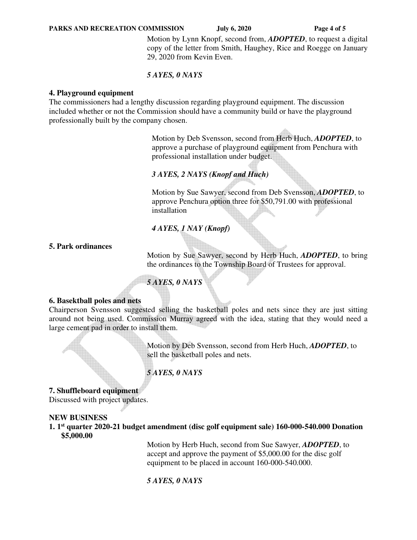Motion by Lynn Knopf, second from, *ADOPTED*, to request a digital copy of the letter from Smith, Haughey, Rice and Roegge on January 29, 2020 from Kevin Even.

# *5 AYES, 0 NAYS*

## **4. Playground equipment**

The commissioners had a lengthy discussion regarding playground equipment. The discussion included whether or not the Commission should have a community build or have the playground professionally built by the company chosen.

> Motion by Deb Svensson, second from Herb Huch, *ADOPTED*, to approve a purchase of playground equipment from Penchura with professional installation under budget.

# *3 AYES, 2 NAYS (Knopf and Huch)*

Motion by Sue Sawyer, second from Deb Svensson, *ADOPTED*, to approve Penchura option three for \$50,791.00 with professional installation

# *4 AYES, 1 NAY (Knopf)*

### **5. Park ordinances**

Motion by Sue Sawyer, second by Herb Huch, *ADOPTED*, to bring the ordinances to the Township Board of Trustees for approval.

# *5 AYES, 0 NAYS*

#### **6. Basektball poles and nets**

Chairperson Svensson suggested selling the basketball poles and nets since they are just sitting around not being used. Commission Murray agreed with the idea, stating that they would need a large cement pad in order to install them.

> Motion by Deb Svensson, second from Herb Huch, *ADOPTED*, to sell the basketball poles and nets.

# *5 AYES, 0 NAYS*

# **7. Shuffleboard equipment**

Discussed with project updates.

# **NEW BUSINESS**

**1. 1st quarter 2020-21 budget amendment (disc golf equipment sale) 160-000-540.000 Donation \$5,000.00** 

> Motion by Herb Huch, second from Sue Sawyer, *ADOPTED*, to accept and approve the payment of \$5,000.00 for the disc golf equipment to be placed in account 160-000-540.000.

*5 AYES, 0 NAYS*